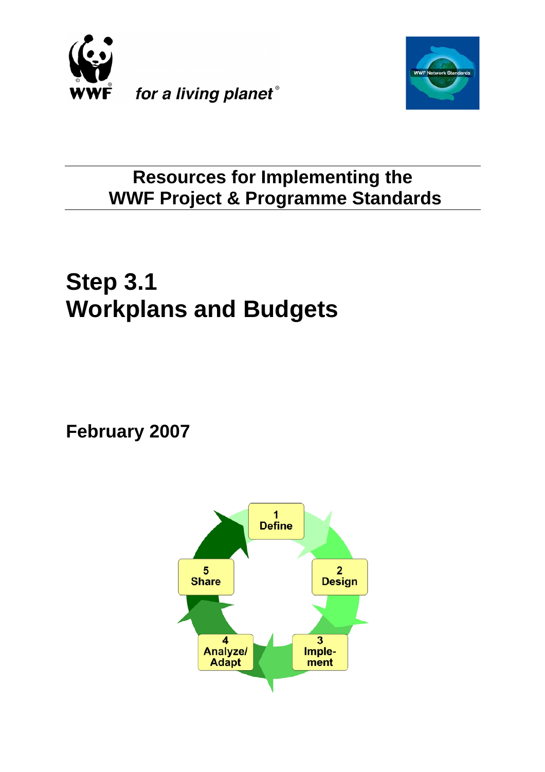



## **Resources for Implementing the WWF Project & Programme Standards**

# **Step 3.1 Workplans and Budgets**

**February 2007**

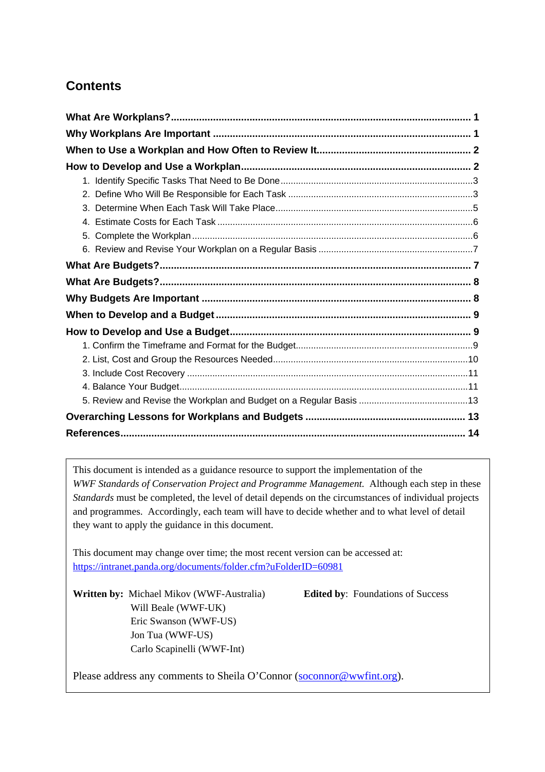## **Contents**

This document is intended as a guidance resource to support the implementation of the *WWF Standards of Conservation Project and Programme Management.* Although each step in these *Standards* must be completed, the level of detail depends on the circumstances of individual projects and programmes. Accordingly, each team will have to decide whether and to what level of detail they want to apply the guidance in this document.

This document may change over time; the most recent version can be accessed at: <https://intranet.panda.org/documents/folder.cfm?uFolderID=60981>

**Written by:** Michael Mikov (WWF-Australia) **Edited by**: Foundations of Success Will Beale (WWF-UK) Eric Swanson (WWF-US) Jon Tua (WWF-US) Carlo Scapinelli (WWF-Int)

Please address any comments to Sheila O'Connor ([soconnor@wwfint.org\)](mailto:soconnor@wwfint.org).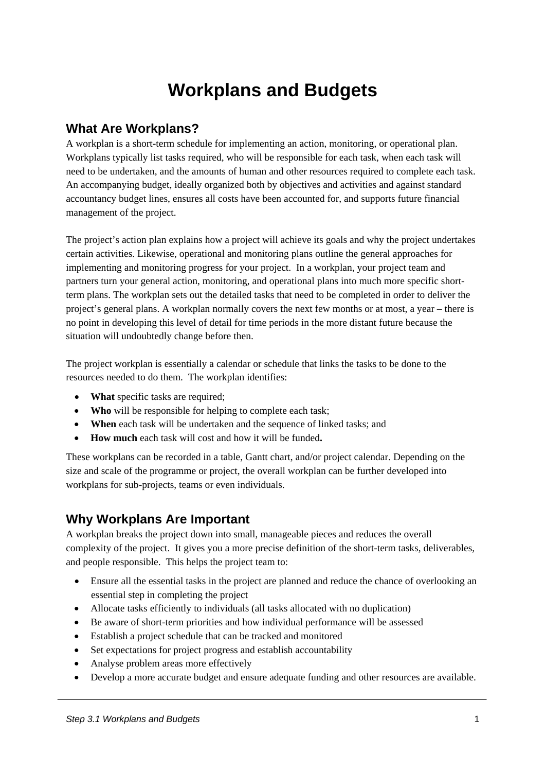## **Workplans and Budgets**

## <span id="page-2-0"></span>**What Are Workplans?**

A workplan is a short-term schedule for implementing an action, monitoring, or operational plan. Workplans typically list tasks required, who will be responsible for each task, when each task will need to be undertaken, and the amounts of human and other resources required to complete each task. An accompanying budget, ideally organized both by objectives and activities and against standard accountancy budget lines, ensures all costs have been accounted for, and supports future financial management of the project.

The project's action plan explains how a project will achieve its goals and why the project undertakes certain activities. Likewise, operational and monitoring plans outline the general approaches for implementing and monitoring progress for your project. In a workplan, your project team and partners turn your general action, monitoring, and operational plans into much more specific shortterm plans. The workplan sets out the detailed tasks that need to be completed in order to deliver the project's general plans. A workplan normally covers the next few months or at most, a year – there is no point in developing this level of detail for time periods in the more distant future because the situation will undoubtedly change before then.

The project workplan is essentially a calendar or schedule that links the tasks to be done to the resources needed to do them. The workplan identifies:

- **What** specific tasks are required;
- Who will be responsible for helping to complete each task;
- **When** each task will be undertaken and the sequence of linked tasks; and
- **How much** each task will cost and how it will be funded**.**

These workplans can be recorded in a table, Gantt chart, and/or project calendar. Depending on the size and scale of the programme or project, the overall workplan can be further developed into workplans for sub-projects, teams or even individuals.

## **Why Workplans Are Important**

A workplan breaks the project down into small, manageable pieces and reduces the overall complexity of the project. It gives you a more precise definition of the short-term tasks, deliverables, and people responsible. This helps the project team to:

- Ensure all the essential tasks in the project are planned and reduce the chance of overlooking an essential step in completing the project
- Allocate tasks efficiently to individuals (all tasks allocated with no duplication)
- Be aware of short-term priorities and how individual performance will be assessed
- Establish a project schedule that can be tracked and monitored
- Set expectations for project progress and establish accountability
- Analyse problem areas more effectively
- Develop a more accurate budget and ensure adequate funding and other resources are available.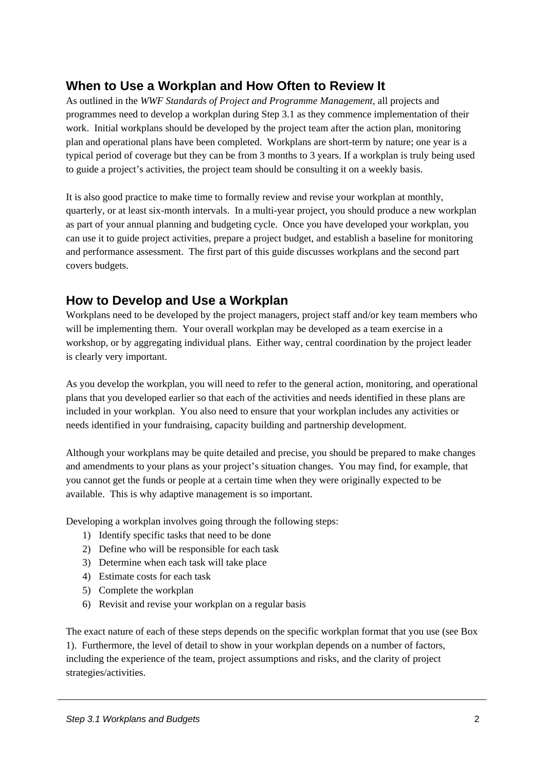## <span id="page-3-0"></span>**When to Use a Workplan and How Often to Review It**

As outlined in the *WWF Standards of Project and Programme Management,* all projects and programmes need to develop a workplan during Step 3.1 as they commence implementation of their work. Initial workplans should be developed by the project team after the action plan, monitoring plan and operational plans have been completed. Workplans are short-term by nature; one year is a typical period of coverage but they can be from 3 months to 3 years. If a workplan is truly being used to guide a project's activities, the project team should be consulting it on a weekly basis.

It is also good practice to make time to formally review and revise your workplan at monthly, quarterly, or at least six-month intervals. In a multi-year project, you should produce a new workplan as part of your annual planning and budgeting cycle. Once you have developed your workplan, you can use it to guide project activities, prepare a project budget, and establish a baseline for monitoring and performance assessment. The first part of this guide discusses workplans and the second part covers budgets.

## **How to Develop and Use a Workplan**

Workplans need to be developed by the project managers, project staff and/or key team members who will be implementing them. Your overall workplan may be developed as a team exercise in a workshop, or by aggregating individual plans. Either way, central coordination by the project leader is clearly very important.

As you develop the workplan, you will need to refer to the general action, monitoring, and operational plans that you developed earlier so that each of the activities and needs identified in these plans are included in your workplan. You also need to ensure that your workplan includes any activities or needs identified in your fundraising, capacity building and partnership development.

Although your workplans may be quite detailed and precise, you should be prepared to make changes and amendments to your plans as your project's situation changes. You may find, for example, that you cannot get the funds or people at a certain time when they were originally expected to be available. This is why adaptive management is so important.

Developing a workplan involves going through the following steps:

- 1) Identify specific tasks that need to be done
- 2) Define who will be responsible for each task
- 3) Determine when each task will take place
- 4) Estimate costs for each task
- 5) Complete the workplan
- 6) Revisit and revise your workplan on a regular basis

The exact nature of each of these steps depends on the specific workplan format that you use (see Box 1). Furthermore, the level of detail to show in your workplan depends on a number of factors, including the experience of the team, project assumptions and risks, and the clarity of project strategies/activities.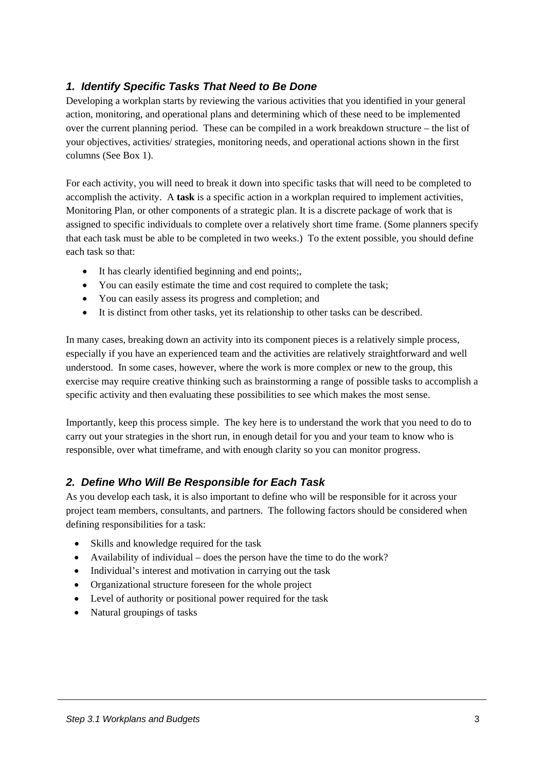#### <span id="page-4-0"></span>*1. Identify Specific Tasks That Need to Be Done*

Developing a workplan starts by reviewing the various activities that you identified in your general action, monitoring, and operational plans and determining which of these need to be implemented over the current planning period. These can be compiled in a work breakdown structure – the list of your objectives, activities/ strategies, monitoring needs, and operational actions shown in the first columns (See Box 1).

For each activity, you will need to break it down into specific tasks that will need to be completed to accomplish the activity. A **task** is a specific action in a workplan required to implement activities, Monitoring Plan, or other components of a strategic plan. It is a discrete package of work that is assigned to specific individuals to complete over a relatively short time frame. (Some planners specify that each task must be able to be completed in two weeks.) To the extent possible, you should define each task so that:

- It has clearly identified beginning and end points:.
- You can easily estimate the time and cost required to complete the task;
- You can easily assess its progress and completion; and
- It is distinct from other tasks, yet its relationship to other tasks can be described.

In many cases, breaking down an activity into its component pieces is a relatively simple process, especially if you have an experienced team and the activities are relatively straightforward and well understood. In some cases, however, where the work is more complex or new to the group, this exercise may require creative thinking such as brainstorming a range of possible tasks to accomplish a specific activity and then evaluating these possibilities to see which makes the most sense.

Importantly, keep this process simple. The key here is to understand the work that you need to do to carry out your strategies in the short run, in enough detail for you and your team to know who is responsible, over what timeframe, and with enough clarity so you can monitor progress.

#### *2. Define Who Will Be Responsible for Each Task*

As you develop each task, it is also important to define who will be responsible for it across your project team members, consultants, and partners. The following factors should be considered when defining responsibilities for a task:

- Skills and knowledge required for the task
- Availability of individual does the person have the time to do the work?
- Individual's interest and motivation in carrying out the task
- Organizational structure foreseen for the whole project
- Level of authority or positional power required for the task
- Natural groupings of tasks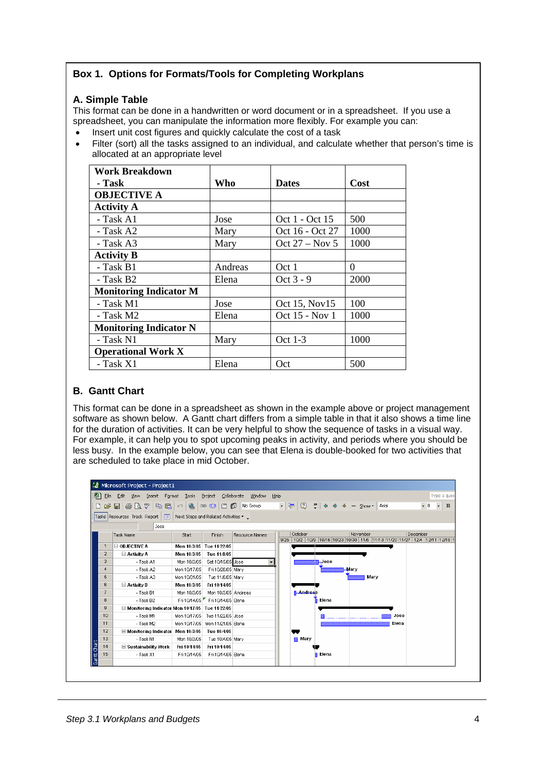#### **Box 1. Options for Formats/Tools for Completing Workplans**

#### **A. Simple Table**

This format can be done in a handwritten or word document or in a spreadsheet. If you use a spreadsheet, you can manipulate the information more flexibly. For example you can:

- Insert unit cost figures and quickly calculate the cost of a task
- Filter (sort) all the tasks assigned to an individual, and calculate whether that person's time is allocated at an appropriate level

| <b>Work Breakdown</b>         |         |                  |      |
|-------------------------------|---------|------------------|------|
| - Task                        | Who     | <b>Dates</b>     | Cost |
| <b>OBJECTIVE A</b>            |         |                  |      |
| <b>Activity A</b>             |         |                  |      |
| - Task A1                     | Jose    | Oct 1 - Oct 15   | 500  |
| - Task A2                     | Mary    | Oct 16 - Oct 27  | 1000 |
| - Task A3                     | Mary    | Oct $27 - Nov 5$ | 1000 |
| <b>Activity B</b>             |         |                  |      |
| - Task B1                     | Andreas | Oct 1            | 0    |
| - Task B2                     | Elena   | Oct $3 - 9$      | 2000 |
| <b>Monitoring Indicator M</b> |         |                  |      |
| - Task M1                     | Jose    | Oct 15, Nov15    | 100  |
| - Task M2                     | Elena   | Oct 15 - Nov 1   | 1000 |
| <b>Monitoring Indicator N</b> |         |                  |      |
| - Task N1                     | Mary    | Oct 1-3          | 1000 |
| <b>Operational Work X</b>     |         |                  |      |
| - Task X1                     | Elena   | Oct              | 500  |

#### **B. Gantt Chart**

This format can be done in a spreadsheet as shown in the example above or project management software as shown below.A Gantt chart differs from a simple table in that it also shows a time line for the duration of activities. It can be very helpful to show the sequence of tasks in a visual way. For example, it can help you to spot upcoming peaks in activity, and periods where you should be less busy. In the example below, you can see that Elena is double-booked for two activities that are scheduled to take place in mid October.

| la1<br>Eile    | Edit View Insert Format Tools Project Collaborate                        |              |                                 | Window Help    | Type a ques                                                                                                                                                                                                                                                                                                                                                                                                                                                                   |
|----------------|--------------------------------------------------------------------------|--------------|---------------------------------|----------------|-------------------------------------------------------------------------------------------------------------------------------------------------------------------------------------------------------------------------------------------------------------------------------------------------------------------------------------------------------------------------------------------------------------------------------------------------------------------------------|
|                | D & B & B \ Q \ Q   C   &   ∞ #   E @   No Group                         |              |                                 |                | $\bullet$ $\frac{1}{\sqrt{2}}$ 2 $\frac{2}{2}$ $\leftarrow$ $\Rightarrow$ $\frac{1}{2}$ $\Rightarrow$ $\frac{1}{2}$ $\Rightarrow$ $\frac{1}{2}$ $\Rightarrow$ $\frac{1}{2}$ $\Rightarrow$ $\frac{1}{2}$ $\Rightarrow$ $\frac{1}{2}$ $\Rightarrow$ $\frac{1}{2}$ $\Rightarrow$ $\frac{1}{2}$ $\Rightarrow$ $\frac{1}{2}$ $\Rightarrow$ $\frac{1}{2}$ $\Rightarrow$ $\frac{1}{2}$ $\Rightarrow$ $\frac{1}{2}$ $\Rightarrow$<br>$\overline{\phantom{a}}$<br>$-8$<br>$\mathbf{B}$ |
|                | Tasks Resources Track Report       Next Steps and Related Activities ▼ _ |              |                                 |                |                                                                                                                                                                                                                                                                                                                                                                                                                                                                               |
|                | Jose                                                                     |              |                                 |                |                                                                                                                                                                                                                                                                                                                                                                                                                                                                               |
|                | Task Name                                                                | Start        | Finish                          | Resource Names | October<br>November<br>December<br>9/25   10/2   10/9   10/16   10/23   10/30   11/6   11/13   11/20   11/27   12/4   12/11   12/18   1                                                                                                                                                                                                                                                                                                                                       |
| $\mathbf{1}$   | $\mathsf{B}$ objective a                                                 |              | Mon 10/3/05 Tue 11/22/05        |                |                                                                                                                                                                                                                                                                                                                                                                                                                                                                               |
| $\overline{2}$ | $\Box$ Activity A                                                        | Mon 10/3/05  | Tue 11/8/05                     |                |                                                                                                                                                                                                                                                                                                                                                                                                                                                                               |
| 3              | - Task A1                                                                | Mon 10/3/05  | Sat 10/15/05 Jose               |                | Jose                                                                                                                                                                                                                                                                                                                                                                                                                                                                          |
| $\overline{4}$ | - Task A2                                                                | Mon 10/17/05 | Fri 10/28/05 Mary               |                | <b>Mary</b>                                                                                                                                                                                                                                                                                                                                                                                                                                                                   |
| 5              | - Task A3                                                                | Mon 10/31/05 | Tue 11/8/05 Mary                |                | Mary                                                                                                                                                                                                                                                                                                                                                                                                                                                                          |
| 6              | $\Box$ Activity B                                                        | Mon 10/3/05  | Fri 10/14/05                    |                |                                                                                                                                                                                                                                                                                                                                                                                                                                                                               |
| $\overline{7}$ | - Task B1                                                                | Mon 10/3/05  | Mon 10/3/05 Andreas             |                | <b>Andreas</b>                                                                                                                                                                                                                                                                                                                                                                                                                                                                |
| 8              | $-$ Task $B2$                                                            |              | Fri 10/14/05 Fri 10/14/05 Elena |                | Elena                                                                                                                                                                                                                                                                                                                                                                                                                                                                         |
| $\overline{9}$ | $\boxdot$ Monitoring Indicator Mon 10/17/05 Tue 11/22/05                 |              |                                 |                |                                                                                                                                                                                                                                                                                                                                                                                                                                                                               |
| 10             | - Task M1                                                                | Mon 10/17/05 | Tue 11/22/05 Jose               |                | Jose                                                                                                                                                                                                                                                                                                                                                                                                                                                                          |
| 11             | - Task M2                                                                |              | Mon 10/17/05 Mon 11/21/05 Elena |                | Elena                                                                                                                                                                                                                                                                                                                                                                                                                                                                         |
| 12             | $\Box$ Monitoring Indicator                                              | Mon 10/3/05  | Tue 10/4/05                     |                |                                                                                                                                                                                                                                                                                                                                                                                                                                                                               |
| 13             | - Task N1                                                                | Mon 10/3/05  | Tue 10/4/05 Mary                |                | <b>B</b> Mary                                                                                                                                                                                                                                                                                                                                                                                                                                                                 |
| 14             | $\Box$ Sustainability Work                                               | Fri 10/14/05 | Fri 10/14/05                    |                |                                                                                                                                                                                                                                                                                                                                                                                                                                                                               |
| 15             | - Task X1                                                                | Fri 10/14/05 | Fri 10/14/05 Elena              |                | Elena                                                                                                                                                                                                                                                                                                                                                                                                                                                                         |
|                |                                                                          |              |                                 |                |                                                                                                                                                                                                                                                                                                                                                                                                                                                                               |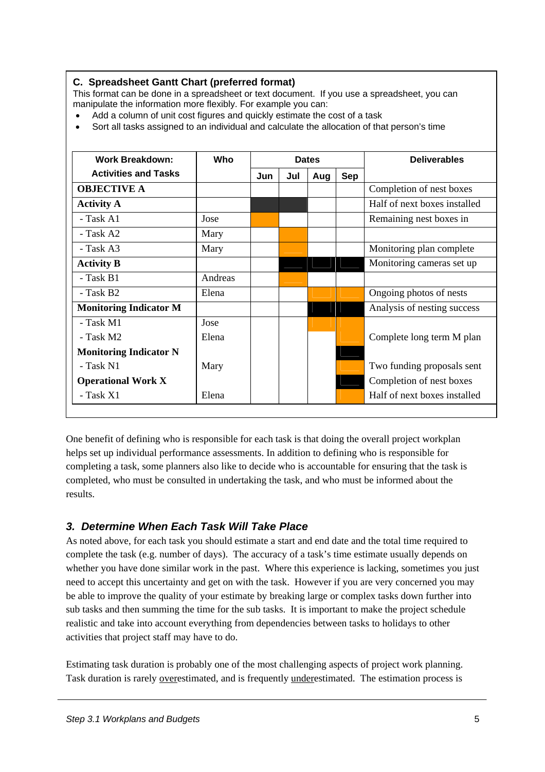#### <span id="page-6-0"></span>**C. Spreadsheet Gantt Chart (preferred format)**

This format can be done in a spreadsheet or text document. If you use a spreadsheet, you can manipulate the information more flexibly. For example you can:

- Add a column of unit cost figures and quickly estimate the cost of a task
- Sort all tasks assigned to an individual and calculate the allocation of that person's time

| <b>Work Breakdown:</b>        | Who     | <b>Dates</b> |     |     | <b>Deliverables</b> |                              |
|-------------------------------|---------|--------------|-----|-----|---------------------|------------------------------|
| <b>Activities and Tasks</b>   |         | Jun          | Jul | Aug | Sep                 |                              |
| <b>OBJECTIVE A</b>            |         |              |     |     |                     | Completion of nest boxes     |
| <b>Activity A</b>             |         |              |     |     |                     | Half of next boxes installed |
| $-$ Task A1                   | Jose    |              |     |     |                     | Remaining nest boxes in      |
| $-$ Task A2                   | Mary    |              |     |     |                     |                              |
| $-$ Task A3                   | Mary    |              |     |     |                     | Monitoring plan complete     |
| <b>Activity B</b>             |         |              |     |     |                     | Monitoring cameras set up    |
| - Task B1                     | Andreas |              |     |     |                     |                              |
| - Task B2                     | Elena   |              |     |     |                     | Ongoing photos of nests      |
| <b>Monitoring Indicator M</b> |         |              |     |     |                     | Analysis of nesting success  |
| - Task M1                     | Jose    |              |     |     |                     |                              |
| - Task M2                     | Elena   |              |     |     |                     | Complete long term M plan    |
| <b>Monitoring Indicator N</b> |         |              |     |     |                     |                              |
| - Task N1                     | Mary    |              |     |     |                     | Two funding proposals sent   |
| <b>Operational Work X</b>     |         |              |     |     |                     | Completion of nest boxes     |
| - Task X1                     | Elena   |              |     |     |                     | Half of next boxes installed |

One benefit of defining who is responsible for each task is that doing the overall project workplan helps set up individual performance assessments. In addition to defining who is responsible for completing a task, some planners also like to decide who is accountable for ensuring that the task is completed, who must be consulted in undertaking the task, and who must be informed about the results.

#### *3. Determine When Each Task Will Take Place*

As noted above, for each task you should estimate a start and end date and the total time required to complete the task (e.g. number of days). The accuracy of a task's time estimate usually depends on whether you have done similar work in the past. Where this experience is lacking, sometimes you just need to accept this uncertainty and get on with the task. However if you are very concerned you may be able to improve the quality of your estimate by breaking large or complex tasks down further into sub tasks and then summing the time for the sub tasks. It is important to make the project schedule realistic and take into account everything from dependencies between tasks to holidays to other activities that project staff may have to do.

Estimating task duration is probably one of the most challenging aspects of project work planning. Task duration is rarely overestimated, and is frequently underestimated. The estimation process is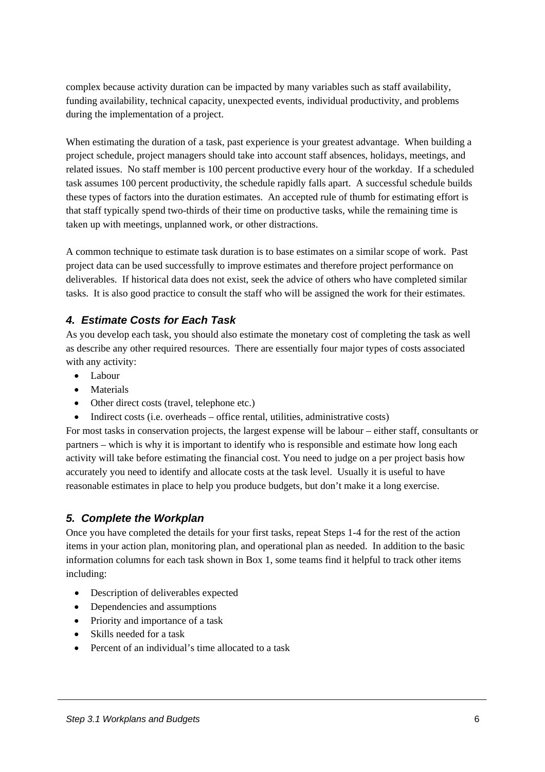<span id="page-7-0"></span>complex because activity duration can be impacted by many variables such as staff availability, funding availability, technical capacity, unexpected events, individual productivity, and problems during the implementation of a project.

When estimating the duration of a task, past experience is your greatest advantage. When building a project schedule, project managers should take into account staff absences, holidays, meetings, and related issues. No staff member is 100 percent productive every hour of the workday. If a scheduled task assumes 100 percent productivity, the schedule rapidly falls apart. A successful schedule builds these types of factors into the duration estimates. An accepted rule of thumb for estimating effort is that staff typically spend two-thirds of their time on productive tasks, while the remaining time is taken up with meetings, unplanned work, or other distractions.

A common technique to estimate task duration is to base estimates on a similar scope of work. Past project data can be used successfully to improve estimates and therefore project performance on deliverables. If historical data does not exist, seek the advice of others who have completed similar tasks. It is also good practice to consult the staff who will be assigned the work for their estimates.

#### *4. Estimate Costs for Each Task*

As you develop each task, you should also estimate the monetary cost of completing the task as well as describe any other required resources. There are essentially four major types of costs associated with any activity:

- Labour
- **Materials**
- Other direct costs (travel, telephone etc.)
- Indirect costs (i.e. overheads office rental, utilities, administrative costs)

For most tasks in conservation projects, the largest expense will be labour – either staff, consultants or partners – which is why it is important to identify who is responsible and estimate how long each activity will take before estimating the financial cost. You need to judge on a per project basis how accurately you need to identify and allocate costs at the task level. Usually it is useful to have reasonable estimates in place to help you produce budgets, but don't make it a long exercise.

### *5. Complete the Workplan*

Once you have completed the details for your first tasks, repeat Steps 1-4 for the rest of the action items in your action plan, monitoring plan, and operational plan as needed. In addition to the basic information columns for each task shown in Box 1, some teams find it helpful to track other items including:

- Description of deliverables expected
- Dependencies and assumptions
- Priority and importance of a task
- Skills needed for a task
- Percent of an individual's time allocated to a task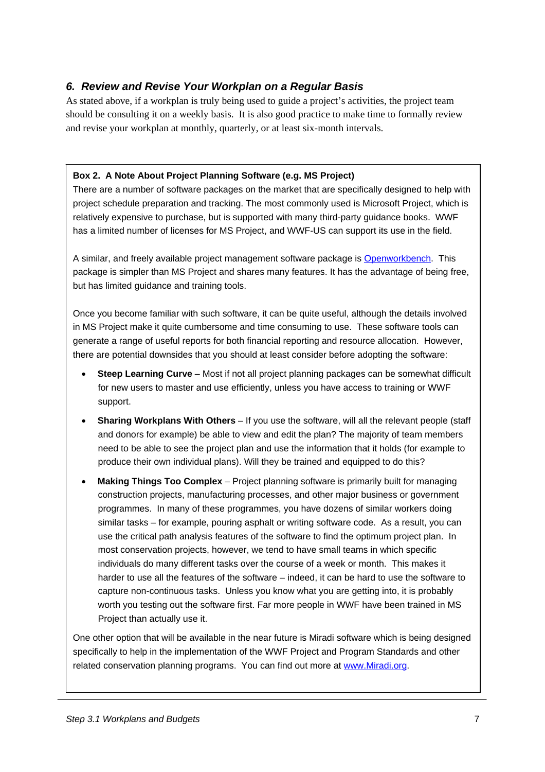#### <span id="page-8-0"></span>*6. Review and Revise Your Workplan on a Regular Basis*

As stated above, if a workplan is truly being used to guide a project's activities, the project team should be consulting it on a weekly basis. It is also good practice to make time to formally review and revise your workplan at monthly, quarterly, or at least six-month intervals.

#### **Box 2. A Note About Project Planning Software (e.g. MS Project)**

There are a number of software packages on the market that are specifically designed to help with project schedule preparation and tracking. The most commonly used is Microsoft Project, which is relatively expensive to purchase, but is supported with many third-party guidance books. WWF has a limited number of licenses for MS Project, and WWF-US can support its use in the field.

A similar, and freely available project management software package is [Openworkbench.](http://www.openworkbench.org/) This package is simpler than MS Project and shares many features. It has the advantage of being free, but has limited guidance and training tools.

Once you become familiar with such software, it can be quite useful, although the details involved in MS Project make it quite cumbersome and time consuming to use. These software tools can generate a range of useful reports for both financial reporting and resource allocation. However, there are potential downsides that you should at least consider before adopting the software:

- **Steep Learning Curve** Most if not all project planning packages can be somewhat difficult for new users to master and use efficiently, unless you have access to training or WWF support.
- **Sharing Workplans With Others** If you use the software, will all the relevant people (staff and donors for example) be able to view and edit the plan? The majority of team members need to be able to see the project plan and use the information that it holds (for example to produce their own individual plans). Will they be trained and equipped to do this?
- **Making Things Too Complex** Project planning software is primarily built for managing construction projects, manufacturing processes, and other major business or government programmes. In many of these programmes, you have dozens of similar workers doing similar tasks – for example, pouring asphalt or writing software code. As a result, you can use the critical path analysis features of the software to find the optimum project plan. In most conservation projects, however, we tend to have small teams in which specific individuals do many different tasks over the course of a week or month. This makes it harder to use all the features of the software – indeed, it can be hard to use the software to capture non-continuous tasks. Unless you know what you are getting into, it is probably worth you testing out the software first. Far more people in WWF have been trained in MS Project than actually use it.

One other option that will be available in the near future is Miradi software which is being designed specifically to help in the implementation of the WWF Project and Program Standards and other related conservation planning programs. You can find out more at [www.Miradi.org](http://www.miradi.org/).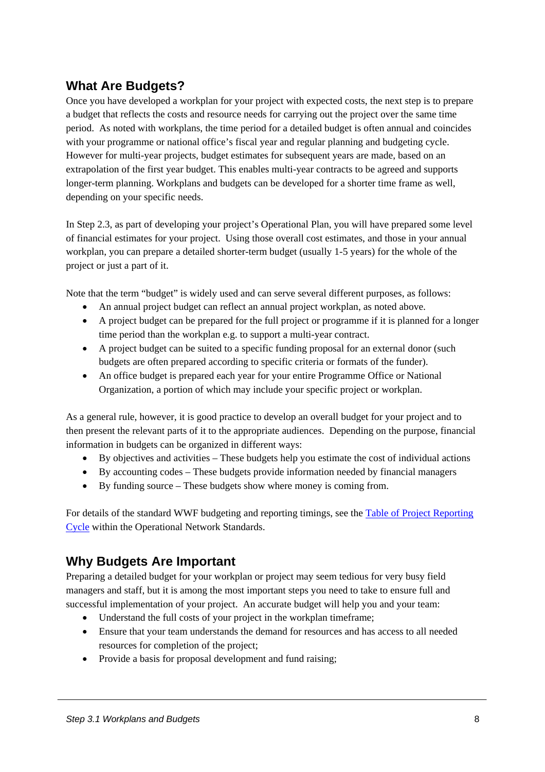## <span id="page-9-0"></span>**What Are Budgets?**

Once you have developed a workplan for your project with expected costs, the next step is to prepare a budget that reflects the costs and resource needs for carrying out the project over the same time period. As noted with workplans, the time period for a detailed budget is often annual and coincides with your programme or national office's fiscal year and regular planning and budgeting cycle. However for multi-year projects, budget estimates for subsequent years are made, based on an extrapolation of the first year budget. This enables multi-year contracts to be agreed and supports longer-term planning. Workplans and budgets can be developed for a shorter time frame as well, depending on your specific needs.

In Step 2.3, as part of developing your project's Operational Plan, you will have prepared some level of financial estimates for your project. Using those overall cost estimates, and those in your annual workplan, you can prepare a detailed shorter-term budget (usually 1-5 years) for the whole of the project or just a part of it.

Note that the term "budget" is widely used and can serve several different purposes, as follows:

- An annual project budget can reflect an annual project workplan, as noted above.
- A project budget can be prepared for the full project or programme if it is planned for a longer time period than the workplan e.g. to support a multi-year contract.
- A project budget can be suited to a specific funding proposal for an external donor (such budgets are often prepared according to specific criteria or formats of the funder).
- An office budget is prepared each year for your entire Programme Office or National Organization, a portion of which may include your specific project or workplan.

As a general rule, however, it is good practice to develop an overall budget for your project and to then present the relevant parts of it to the appropriate audiences. Depending on the purpose, financial information in budgets can be organized in different ways:

- By objectives and activities These budgets help you estimate the cost of individual actions
- By accounting codes These budgets provide information needed by financial managers
- By funding source These budgets show where money is coming from.

For details of the standard WWF budgeting and reporting timings, see the [Table of Project Reporting](https://intranet.panda.org/documents/document.cfm?uFolderID=52860&uDocID=54603) [Cycle](https://intranet.panda.org/documents/document.cfm?uFolderID=52860&uDocID=54603) within the Operational Network Standards.

## **Why Budgets Are Important**

Preparing a detailed budget for your workplan or project may seem tedious for very busy field managers and staff, but it is among the most important steps you need to take to ensure full and successful implementation of your project. An accurate budget will help you and your team:

- Understand the full costs of your project in the workplan timeframe:
- Ensure that your team understands the demand for resources and has access to all needed resources for completion of the project;
- Provide a basis for proposal development and fund raising: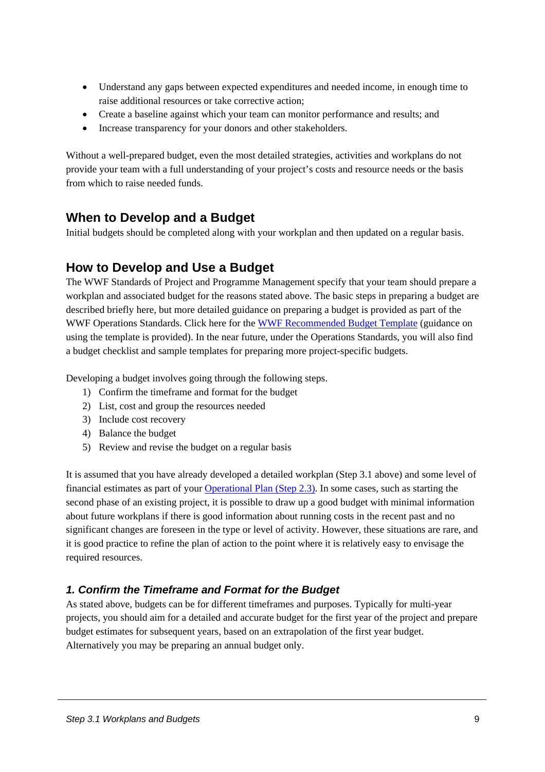- <span id="page-10-0"></span>• Understand any gaps between expected expenditures and needed income, in enough time to raise additional resources or take corrective action;
- Create a baseline against which your team can monitor performance and results; and
- Increase transparency for your donors and other stakeholders.

Without a well-prepared budget, even the most detailed strategies, activities and workplans do not provide your team with a full understanding of your project's costs and resource needs or the basis from which to raise needed funds.

## **When to Develop and a Budget**

Initial budgets should be completed along with your workplan and then updated on a regular basis.

### **How to Develop and Use a Budget**

The WWF Standards of Project and Programme Management specify that your team should prepare a workplan and associated budget for the reasons stated above. The basic steps in preparing a budget are described briefly here, but more detailed guidance on preparing a budget is provided as part of the WWF Operations Standards. Click here for the [WWF Recommended Budget Template](https://intranet.panda.org/documents/document.cfm?uFolderID=52864&uDocID=54613) (guidance on using the template is provided). In the near future, under the Operations Standards, you will also find a budget checklist and sample templates for preparing more project-specific budgets.

Developing a budget involves going through the following steps.

- 1) Confirm the timeframe and format for the budget
- 2) List, cost and group the resources needed
- 3) Include cost recovery
- 4) Balance the budget
- 5) Review and revise the budget on a regular basis

It is assumed that you have already developed a detailed workplan (Step 3.1 above) and some level of financial estimates as part of your [Operational Plan \(Step 2.3\).](https://intranet.panda.org/documents/folder.cfm?uNC=28058016&uFolderID=60980) In some cases, such as starting the second phase of an existing project, it is possible to draw up a good budget with minimal information about future workplans if there is good information about running costs in the recent past and no significant changes are foreseen in the type or level of activity. However, these situations are rare, and it is good practice to refine the plan of action to the point where it is relatively easy to envisage the required resources.

#### *1. Confirm the Timeframe and Format for the Budget*

As stated above, budgets can be for different timeframes and purposes. Typically for multi-year projects, you should aim for a detailed and accurate budget for the first year of the project and prepare budget estimates for subsequent years, based on an extrapolation of the first year budget. Alternatively you may be preparing an annual budget only.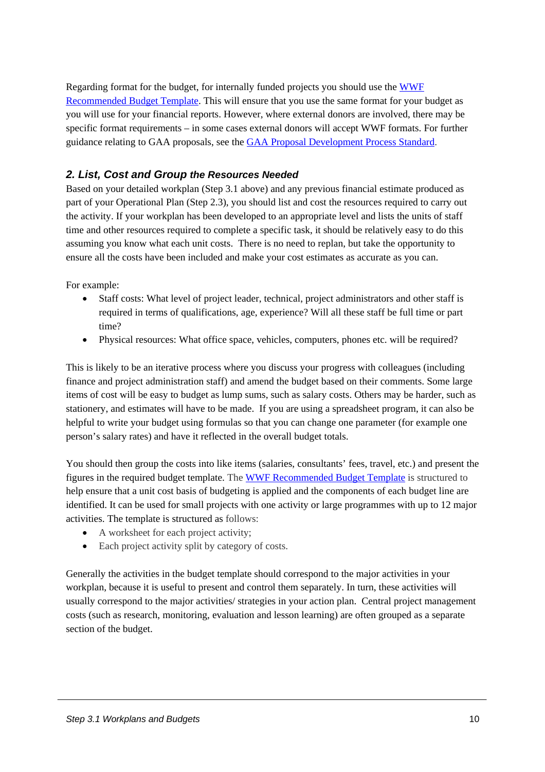<span id="page-11-0"></span>Regarding format for the budget, for internally funded projects you should use the [WWF](https://intranet.panda.org/documents/document.cfm?uFolderID=52864&uDocID=54613)  [Recommended Budget Template.](https://intranet.panda.org/documents/document.cfm?uFolderID=52864&uDocID=54613) This will ensure that you use the same format for your budget as you will use for your financial reports. However, where external donors are involved, there may be specific format requirements – in some cases external donors will accept WWF formats. For further guidance relating to GAA proposals, see the [GAA Proposal Development Process Standard.](https://intranet.panda.org/data/downloads/10177/gaaproposaldevtprocessstandard.doc)

#### *2. List, Cost and Group the Resources Needed*

Based on your detailed workplan (Step 3.1 above) and any previous financial estimate produced as part of your Operational Plan (Step 2.3), you should list and cost the resources required to carry out the activity. If your workplan has been developed to an appropriate level and lists the units of staff time and other resources required to complete a specific task, it should be relatively easy to do this assuming you know what each unit costs. There is no need to replan, but take the opportunity to ensure all the costs have been included and make your cost estimates as accurate as you can.

For example:

- Staff costs: What level of project leader, technical, project administrators and other staff is required in terms of qualifications, age, experience? Will all these staff be full time or part time?
- Physical resources: What office space, vehicles, computers, phones etc. will be required?

This is likely to be an iterative process where you discuss your progress with colleagues (including finance and project administration staff) and amend the budget based on their comments. Some large items of cost will be easy to budget as lump sums, such as salary costs. Others may be harder, such as stationery, and estimates will have to be made. If you are using a spreadsheet program, it can also be helpful to write your budget using formulas so that you can change one parameter (for example one person's salary rates) and have it reflected in the overall budget totals.

You should then group the costs into like items (salaries, consultants' fees, travel, etc.) and present the figures in the required budget template. The [WWF Recommended Budget Template](https://intranet.panda.org/documents/document.cfm?uFolderID=52864&uDocID=54613) is structured to help ensure that a unit cost basis of budgeting is applied and the components of each budget line are identified. It can be used for small projects with one activity or large programmes with up to 12 major activities. The template is structured as follows:

- A worksheet for each project activity;
- Each project activity split by category of costs.

Generally the activities in the budget template should correspond to the major activities in your workplan, because it is useful to present and control them separately. In turn, these activities will usually correspond to the major activities/ strategies in your action plan. Central project management costs (such as research, monitoring, evaluation and lesson learning) are often grouped as a separate section of the budget.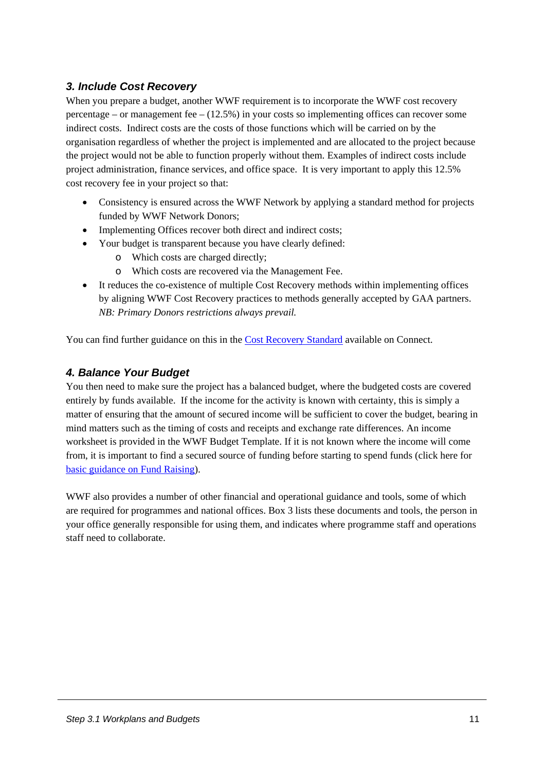#### <span id="page-12-0"></span>*3. Include Cost Recovery*

When you prepare a budget, another WWF requirement is to incorporate the WWF cost recovery percentage – or management fee – (12.5%) in your costs so implementing offices can recover some indirect costs. Indirect costs are the costs of those functions which will be carried on by the organisation regardless of whether the project is implemented and are allocated to the project because the project would not be able to function properly without them. Examples of indirect costs include project administration, finance services, and office space. It is very important to apply this 12.5% cost recovery fee in your project so that:

- Consistency is ensured across the WWF Network by applying a standard method for projects funded by WWF Network Donors;
- Implementing Offices recover both direct and indirect costs:
- Your budget is transparent because you have clearly defined:
	- o Which costs are charged directly;
	- o Which costs are recovered via the Management Fee.
- It reduces the co-existence of multiple Cost Recovery methods within implementing offices by aligning WWF Cost Recovery practices to methods generally accepted by GAA partners. *NB: Primary Donors restrictions always prevail.*

You can find further guidance on this in the [Cost Recovery Standard](https://intranet.panda.org/documents/folder.cfm?uFolderID=59003) available on Connect.

#### *4. Balance Your Budget*

You then need to make sure the project has a balanced budget, where the budgeted costs are covered entirely by funds available. If the income for the activity is known with certainty, this is simply a matter of ensuring that the amount of secured income will be sufficient to cover the budget, bearing in mind matters such as the timing of costs and receipts and exchange rate differences. An income worksheet is provided in the WWF Budget Template. If it is not known where the income will come from, it is important to find a secured source of funding before starting to spend funds (click here for [basic guidance on Fund Raising\)](https://intranet.panda.org/documents/folder.cfm?uFolderID=60982&ticket=ST-25717-eTe226HeE4CdgBcsY49y).

WWF also provides a number of other financial and operational guidance and tools, some of which are required for programmes and national offices. Box 3 lists these documents and tools, the person in your office generally responsible for using them, and indicates where programme staff and operations staff need to collaborate.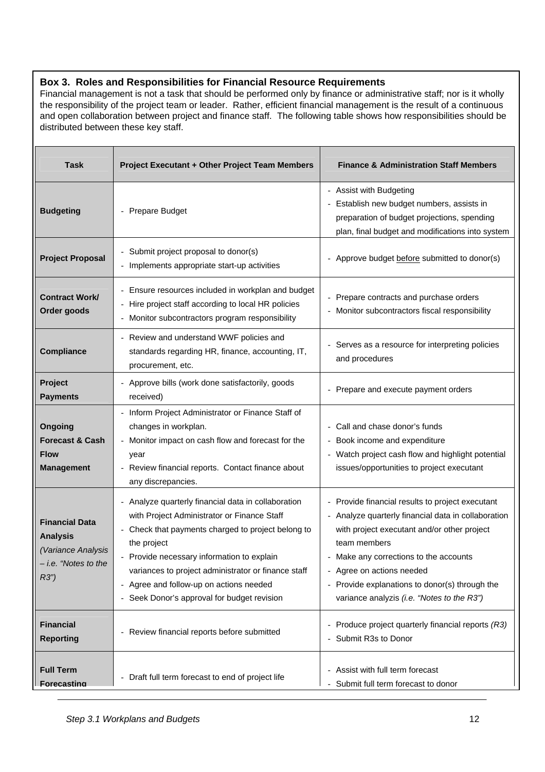#### **Box 3. Roles and Responsibilities for Financial Resource Requirements**

Financial management is not a task that should be performed only by finance or administrative staff; nor is it wholly the responsibility of the project team or leader. Rather, efficient financial management is the result of a continuous and open collaboration between project and finance staff. The following table shows how responsibilities should be distributed between these key staff.

| <b>Task</b>                                                                                     | <b>Project Executant + Other Project Team Members</b>                                                                                                                                                                                                                                                                                                                                      | <b>Finance &amp; Administration Staff Members</b>                                                                                                                                                                                                                                                                                           |
|-------------------------------------------------------------------------------------------------|--------------------------------------------------------------------------------------------------------------------------------------------------------------------------------------------------------------------------------------------------------------------------------------------------------------------------------------------------------------------------------------------|---------------------------------------------------------------------------------------------------------------------------------------------------------------------------------------------------------------------------------------------------------------------------------------------------------------------------------------------|
| <b>Budgeting</b>                                                                                | Prepare Budget                                                                                                                                                                                                                                                                                                                                                                             | - Assist with Budgeting<br>Establish new budget numbers, assists in<br>preparation of budget projections, spending<br>plan, final budget and modifications into system                                                                                                                                                                      |
| <b>Project Proposal</b>                                                                         | - Submit project proposal to donor(s)<br>Implements appropriate start-up activities                                                                                                                                                                                                                                                                                                        | Approve budget before submitted to donor(s)                                                                                                                                                                                                                                                                                                 |
| <b>Contract Work/</b><br>Order goods                                                            | Ensure resources included in workplan and budget<br>- Hire project staff according to local HR policies<br>Monitor subcontractors program responsibility                                                                                                                                                                                                                                   | Prepare contracts and purchase orders<br>Monitor subcontractors fiscal responsibility                                                                                                                                                                                                                                                       |
| <b>Compliance</b>                                                                               | - Review and understand WWF policies and<br>standards regarding HR, finance, accounting, IT,<br>procurement, etc.                                                                                                                                                                                                                                                                          | - Serves as a resource for interpreting policies<br>and procedures                                                                                                                                                                                                                                                                          |
| Project<br><b>Payments</b>                                                                      | - Approve bills (work done satisfactorily, goods<br>received)                                                                                                                                                                                                                                                                                                                              | Prepare and execute payment orders                                                                                                                                                                                                                                                                                                          |
| Ongoing<br><b>Forecast &amp; Cash</b><br><b>Flow</b><br><b>Management</b>                       | - Inform Project Administrator or Finance Staff of<br>changes in workplan.<br>Monitor impact on cash flow and forecast for the<br>year<br>Review financial reports. Contact finance about<br>any discrepancies.                                                                                                                                                                            | - Call and chase donor's funds<br>Book income and expenditure<br>- Watch project cash flow and highlight potential<br>issues/opportunities to project executant                                                                                                                                                                             |
| <b>Financial Data</b><br><b>Analysis</b><br>(Variance Analysis<br>$-i.e.$ "Notes to the<br>R3") | - Analyze quarterly financial data in collaboration<br>with Project Administrator or Finance Staff<br>Check that payments charged to project belong to<br>the project<br>Provide necessary information to explain<br>variances to project administrator or finance staff<br>Agree and follow-up on actions needed<br>Seek Donor's approval for budget revision<br>$\overline{\phantom{a}}$ | - Provide financial results to project executant<br>- Analyze quarterly financial data in collaboration<br>with project executant and/or other project<br>team members<br>Make any corrections to the accounts<br>- Agree on actions needed<br>- Provide explanations to donor(s) through the<br>variance analyzis (i.e. "Notes to the R3") |
| <b>Financial</b><br><b>Reporting</b>                                                            | Review financial reports before submitted                                                                                                                                                                                                                                                                                                                                                  | Produce project quarterly financial reports (R3)<br>Submit R3s to Donor                                                                                                                                                                                                                                                                     |
| <b>Full Term</b><br>Forecasting                                                                 | Draft full term forecast to end of project life                                                                                                                                                                                                                                                                                                                                            | Assist with full term forecast<br>Submit full term forecast to donor                                                                                                                                                                                                                                                                        |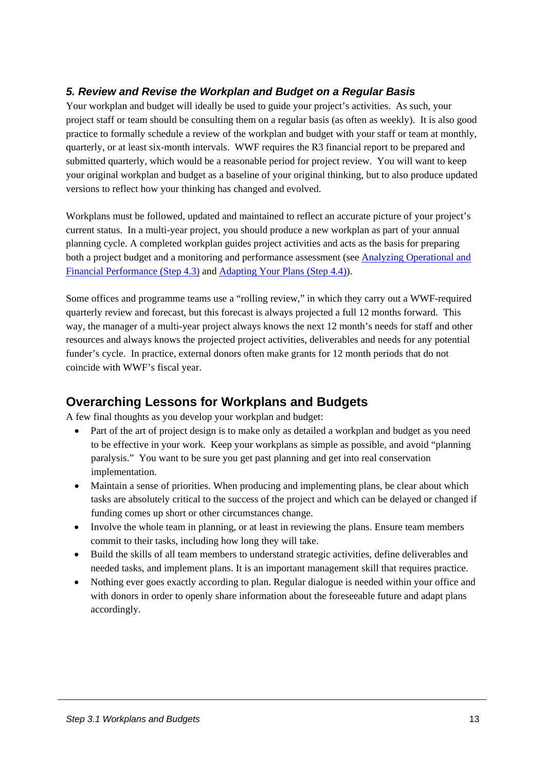#### <span id="page-14-0"></span>*5. Review and Revise the Workplan and Budget on a Regular Basis*

Your workplan and budget will ideally be used to guide your project's activities. As such, your project staff or team should be consulting them on a regular basis (as often as weekly). It is also good practice to formally schedule a review of the workplan and budget with your staff or team at monthly, quarterly, or at least six-month intervals. WWF requires the R3 financial report to be prepared and submitted quarterly, which would be a reasonable period for project review. You will want to keep your original workplan and budget as a baseline of your original thinking, but to also produce updated versions to reflect how your thinking has changed and evolved.

Workplans must be followed, updated and maintained to reflect an accurate picture of your project's current status. In a multi-year project, you should produce a new workplan as part of your annual planning cycle. A completed workplan guides project activities and acts as the basis for preparing both a project budget and a monitoring and performance assessment (see [Analyzing Operational and](https://intranet.panda.org/documents/folder.cfm?uFolderID=60987)  [Financial Performance \(Step 4.3\)](https://intranet.panda.org/documents/folder.cfm?uFolderID=60987) and [Adapting Your Plans \(Step 4.4\)](https://intranet.panda.org/documents/folder.cfm?uFolderID=60988)).

Some offices and programme teams use a "rolling review," in which they carry out a WWF-required quarterly review and forecast, but this forecast is always projected a full 12 months forward. This way, the manager of a multi-year project always knows the next 12 month's needs for staff and other resources and always knows the projected project activities, deliverables and needs for any potential funder's cycle. In practice, external donors often make grants for 12 month periods that do not coincide with WWF's fiscal year.

## **Overarching Lessons for Workplans and Budgets**

A few final thoughts as you develop your workplan and budget:

- Part of the art of project design is to make only as detailed a workplan and budget as you need to be effective in your work. Keep your workplans as simple as possible, and avoid "planning paralysis." You want to be sure you get past planning and get into real conservation implementation.
- Maintain a sense of priorities. When producing and implementing plans, be clear about which tasks are absolutely critical to the success of the project and which can be delayed or changed if funding comes up short or other circumstances change.
- Involve the whole team in planning, or at least in reviewing the plans. Ensure team members commit to their tasks, including how long they will take.
- Build the skills of all team members to understand strategic activities, define deliverables and needed tasks, and implement plans. It is an important management skill that requires practice.
- Nothing ever goes exactly according to plan. Regular dialogue is needed within your office and with donors in order to openly share information about the foreseeable future and adapt plans accordingly.